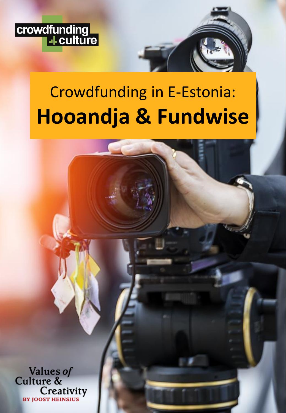

# Crowdfunding in E-Estonia: **Hooandja & Fundwise**

Values of<br>Culture & Creativity **BY JOOST HEINSIUS**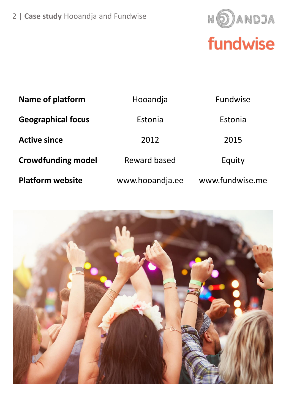

| <b>Name of platform</b>   | Hooandja        | <b>Fundwise</b> |
|---------------------------|-----------------|-----------------|
| <b>Geographical focus</b> | Estonia         | Estonia         |
| <b>Active since</b>       | 2012            | 2015            |
| <b>Crowdfunding model</b> | Reward based    | Equity          |
| <b>Platform website</b>   | www.hooandja.ee | www.fundwise.me |

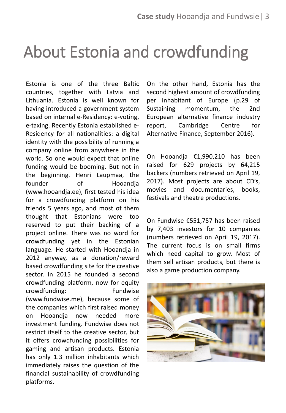# About Estonia and crowdfunding

Estonia is one of the three Baltic countries, together with Latvia and Lithuania. Estonia is well known for having introduced a government system based on internal e-Residency: e-voting, e-taxing. Recently Estonia established e-Residency for all nationalities: a digital identity with the possibility of running a company online from anywhere in the world. So one would expect that online funding would be booming. But not in the beginning. Henri Laupmaa, the founder of Hooandia (www.hooandja.ee), first tested his idea for a crowdfunding platform on his friends 5 years ago, and most of them thought that Estonians were too reserved to put their backing of a project online. There was no word for crowdfunding yet in the Estonian language. He started with Hooandja in 2012 anyway, as a donation/reward based crowdfunding site for the creative sector. In 2015 he founded a second crowdfunding platform, now for equity crowdfunding: Fundwise (www.fundwise.me), because some of the companies which first raised money on Hooandja now needed more investment funding. Fundwise does not restrict itself to the creative sector, but it offers crowdfunding possibilities for gaming and artisan products. Estonia has only 1.3 million inhabitants which immediately raises the question of the financial sustainability of crowdfunding platforms.

On the other hand, Estonia has the second highest amount of crowdfunding per inhabitant of Europe (p.29 of Sustaining momentum, the 2nd European alternative finance industry report, Cambridge Centre for Alternative Finance, September 2016).

On Hooandja €1,990,210 has been raised for 629 projects by 64,215 backers (numbers retrieved on April 19, 2017). Most projects are about CD's, movies and documentaries, books, festivals and theatre productions.

On Fundwise €551,757 has been raised by 7,403 investors for 10 companies (numbers retrieved on April 19, 2017). The current focus is on small firms which need capital to grow. Most of them sell artisan products, but there is also a game production company.

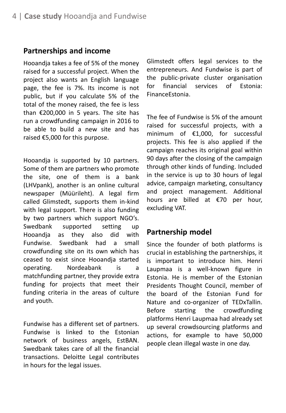#### **Partnerships and income**

Hooandja takes a fee of 5% of the money raised for a successful project. When the project also wants an English language page, the fee is 7%. Its income is not public, but if you calculate 5% of the total of the money raised, the fee is less than  $\epsilon$ 200,000 in 5 years. The site has run a crowdfunding campaign in 2016 to be able to build a new site and has raised €5,000 for this purpose.

Hooandja is supported by 10 partners. Some of them are partners who promote the site, one of them is a bank (LHVpank), another is an online cultural newspaper (Müürileht). A legal firm called Glimstedt, supports them in-kind with legal support. There is also funding by two partners which support NGO's. Swedbank supported setting up Hooandja as they also did with Fundwise. Swedbank had a small crowdfunding site on its own which has ceased to exist since Hooandja started operating. Nordeabank is a matchfunding partner, they provide extra funding for projects that meet their funding criteria in the areas of culture and youth.

Fundwise has a different set of partners. Fundwise is linked to the Estonian network of business angels, EstBAN. Swedbank takes care of all the financial transactions. Deloitte Legal contributes in hours for the legal issues.

Glimstedt offers legal services to the entrepreneurs. And Fundwise is part of the public-private cluster organisation for financial services of Estonia: FinanceEstonia.

The fee of Fundwise is 5% of the amount raised for successful projects, with a minimum of €1,000, for successful projects. This fee is also applied if the campaign reaches its original goal within 90 days after the closing of the campaign through other kinds of funding. Included in the service is up to 30 hours of legal advice, campaign marketing, consultancy and project management. Additional hours are billed at €70 per hour, excluding VAT.

#### **Partnership model**

Since the founder of both platforms is crucial in establishing the partnerships, it is important to introduce him. Henri Laupmaa is a well-known figure in Estonia. He is member of the Estonian Presidents Thought Council, member of the board of the Estonian Fund for Nature and co-organizer of TEDxTallin. Before starting the crowdfunding platforms Henri Laupmaa had already set up several crowdsourcing platforms and actions, for example to have 50,000 people clean illegal waste in one day.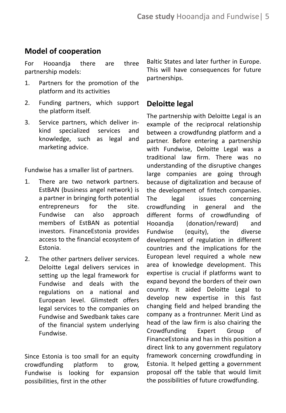#### **Model of cooperation**

For Hooandja there are three partnership models:

- 1. Partners for the promotion of the platform and its activities
- 2. Funding partners, which support the platform itself.
- 3. Service partners, which deliver inkind specialized services and knowledge, such as legal and marketing advice.

Fundwise has a smaller list of partners.

- 1. There are two network partners. EstBAN (business angel network) is a partner in bringing forth potential entrepreneurs for the site. Fundwise can also approach members of EstBAN as potential investors. FinanceEstonia provides access to the financial ecosystem of Estonia.
- 2. The other partners deliver services. Deloitte Legal delivers services in setting up the legal framework for Fundwise and deals with the regulations on a national and European level. Glimstedt offers legal services to the companies on Fundwise and Swedbank takes care of the financial system underlying Fundwise.

Since Estonia is too small for an equity crowdfunding platform to grow, Fundwise is looking for expansion possibilities, first in the other

Baltic States and later further in Europe. This will have consequences for future partnerships.

#### **Deloitte legal**

The partnership with Deloitte Legal is an example of the reciprocal relationship between a crowdfundng platform and a partner. Before entering a partnership with Fundwise, Deloitte Legal was a traditional law firm. There was no understanding of the disruptive changes large companies are going through because of digitalization and because of the development of fintech companies. The legal issues concerning crowdfunding in general and the different forms of crowdfunding of Hooandja (donation/reward) and Fundwise (equity), the diverse development of regulation in different countries and the implications for the European level required a whole new area of knowledge development. This expertise is crucial if platforms want to expand beyond the borders of their own country. It aided Deloitte Legal to develop new expertise in this fast changing field and helped branding the company as a frontrunner. Merit Lind as head of the law firm is also chairing the Crowdfunding Expert Group of FinanceEstonia and has in this position a direct link to any government regulatory framework concerning crowdfunding in Estonia. It helped getting a government proposal off the table that would limit the possibilities of future crowdfunding.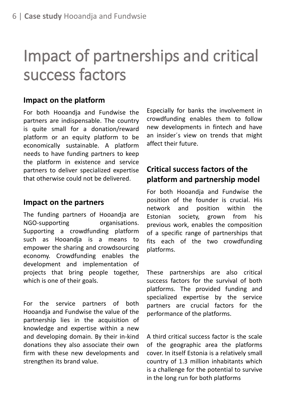# Impact of partnerships and critical success factors

#### **Impact on the platform**

For both Hooandja and Fundwise the partners are indispensable. The country is quite small for a donation/reward platform or an equity platform to be economically sustainable. A platform needs to have funding partners to keep the platform in existence and service partners to deliver specialized expertise that otherwise could not be delivered.

#### **Impact on the partners**

The funding partners of Hooandja are NGO-supporting organisations. Supporting a crowdfunding platform such as Hooandja is a means to empower the sharing and crowdsourcing economy. Crowdfunding enables the development and implementation of projects that bring people together, which is one of their goals.

For the service partners of both Hooandja and Fundwise the value of the partnership lies in the acquisition of knowledge and expertise within a new and developing domain. By their in-kind donations they also associate their own firm with these new developments and strengthen its brand value.

Especially for banks the involvement in crowdfunding enables them to follow new developments in fintech and have an insider´s view on trends that might affect their future.

### **Critical success factors of the platform and partnership model**

For both Hooandja and Fundwise the position of the founder is crucial. His network and position within the Estonian society, grown from his previous work, enables the composition of a specific range of partnerships that fits each of the two crowdfunding platforms.

These partnerships are also critical success factors for the survival of both platforms. The provided funding and specialized expertise by the service partners are crucial factors for the performance of the platforms.

A third critical success factor is the scale of the geographic area the platforms cover. In itself Estonia is a relatively small country of 1.3 million inhabitants which is a challenge for the potential to survive in the long run for both platforms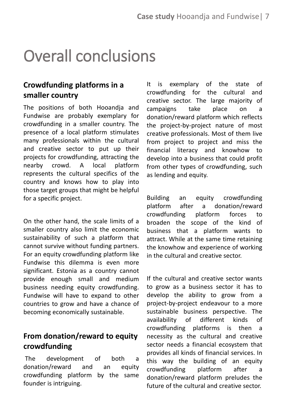# Overall conclusions

### **Crowdfunding platforms in a smaller country**

The positions of both Hooandja and Fundwise are probably exemplary for crowdfunding in a smaller country. The presence of a local platform stimulates many professionals within the cultural and creative sector to put up their projects for crowdfunding, attracting the nearby crowd. A local platform represents the cultural specifics of the country and knows how to play into those target groups that might be helpful for a specific project.

On the other hand, the scale limits of a smaller country also limit the economic sustainability of such a platform that cannot survive without funding partners. For an equity crowdfunding platform like Fundwise this dilemma is even more significant. Estonia as a country cannot provide enough small and medium business needing equity crowdfunding. Fundwise will have to expand to other countries to grow and have a chance of becoming economically sustainable.

### **From donation/reward to equity crowdfunding**

The development of both a donation/reward and an equity crowdfunding platform by the same founder is intriguing.

It is exemplary of the state of crowdfunding for the cultural and creative sector. The large majority of campaigns take place on a donation/reward platform which reflects the project-by-project nature of most creative professionals. Most of them live from project to project and miss the financial literacy and knowhow to develop into a business that could profit from other types of crowdfunding, such as lending and equity.

Building an equity crowdfunding platform after a donation/reward crowdfunding platform forces to broaden the scope of the kind of business that a platform wants to attract. While at the same time retaining the knowhow and experience of working in the cultural and creative sector.

If the cultural and creative sector wants to grow as a business sector it has to develop the ability to grow from a project-by-project endeavour to a more sustainable business perspective. The availability of different kinds of crowdfunding platforms is then a necessity as the cultural and creative sector needs a financial ecosystem that provides all kinds of financial services. In this way the building of an equity crowdfunding platform after a donation/reward platform preludes the future of the cultural and creative sector.